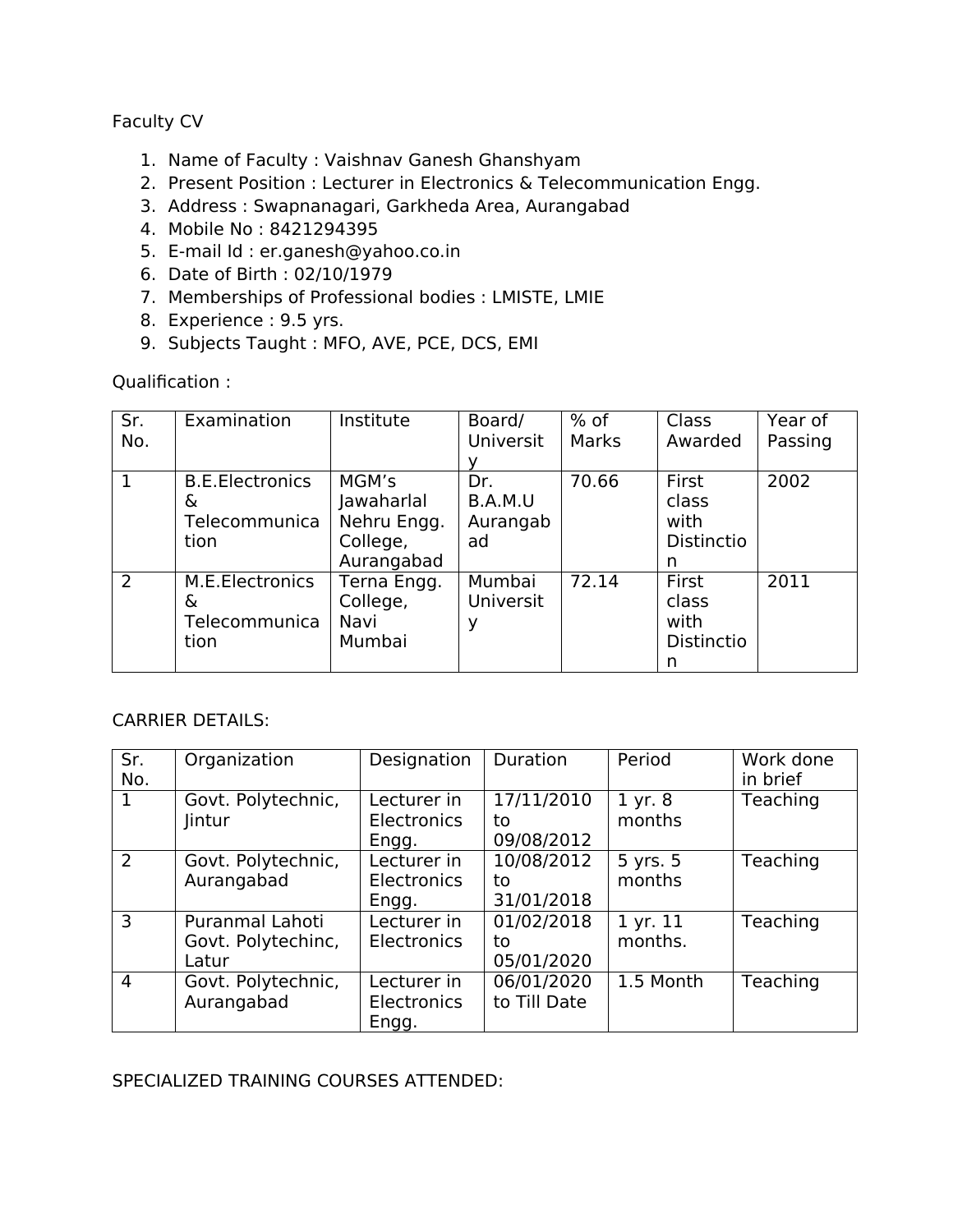## Faculty CV

- 1. Name of Faculty : Vaishnav Ganesh Ghanshyam
- 2. Present Position : Lecturer in Electronics & Telecommunication Engg.
- 3. Address : Swapnanagari, Garkheda Area, Aurangabad
- 4. Mobile No : 8421294395
- 5. E-mail Id : er.ganesh@yahoo.co.in
- 6. Date of Birth : 02/10/1979
- 7. Memberships of Professional bodies : LMISTE, LMIE
- 8. Experience : 9.5 yrs.
- 9. Subjects Taught : MFO, AVE, PCE, DCS, EMI

Qualification :

| Sr.<br>No. | Examination                                          | Institute                                                    | Board/<br><b>Universit</b>       | $%$ of<br>Marks | Class<br>Awarded                                 | Year of<br>Passing |
|------------|------------------------------------------------------|--------------------------------------------------------------|----------------------------------|-----------------|--------------------------------------------------|--------------------|
|            | <b>B.E.Electronics</b><br>&<br>Telecommunica<br>tion | MGM's<br>Jawaharlal<br>Nehru Engg.<br>College,<br>Aurangabad | Dr.<br>B.A.M.U<br>Aurangab<br>ad | 70.66           | First<br>class<br>with<br><b>Distinctio</b><br>n | 2002               |
| 2          | M.E.Electronics<br>&<br>Telecommunica<br>tion        | Terna Engg.<br>College,<br>Navi<br>Mumbai                    | Mumbai<br>Universit<br>у         | 72.14           | First<br>class<br>with<br>Distinctio<br>n        | 2011               |

## CARRIER DETAILS:

| Sr.<br>No.     | Organization                                   | Designation                                | Duration                       | Period                  | Work done<br>in brief |
|----------------|------------------------------------------------|--------------------------------------------|--------------------------------|-------------------------|-----------------------|
| $\mathbf{1}$   | Govt. Polytechnic,<br><b>lintur</b>            | Lecturer in<br><b>Electronics</b><br>Engg. | 17/11/2010<br>to<br>09/08/2012 | 1 yr. 8<br>months       | Teaching              |
| 2              | Govt. Polytechnic,<br>Aurangabad               | Lecturer in<br><b>Electronics</b><br>Engg. | 10/08/2012<br>to<br>31/01/2018 | 5 yrs. 5<br>months      | Teaching              |
| 3              | Puranmal Lahoti<br>Govt. Polytechinc,<br>Latur | Lecturer in<br>Electronics                 | 01/02/2018<br>to<br>05/01/2020 | $1$ yr. $11$<br>months. | Teaching              |
| $\overline{4}$ | Govt. Polytechnic,<br>Aurangabad               | Lecturer in<br><b>Electronics</b><br>Engg. | 06/01/2020<br>to Till Date     | 1.5 Month               | Teaching              |

## SPECIALIZED TRAINING COURSES ATTENDED: